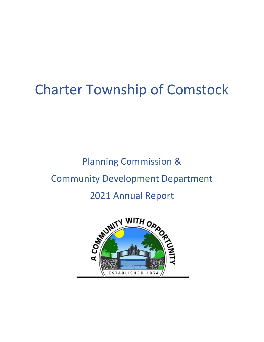# Charter Township of Comstock

## Planning Commission & Community Development Department 2021 Annual Report

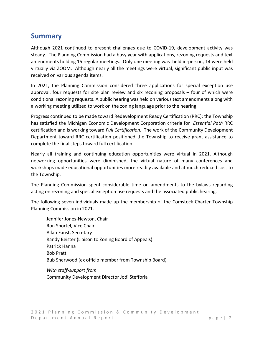#### **Summary**

Although 2021 continued to present challenges due to COVID-19, development activity was steady. The Planning Commission had a busy year with applications, rezoning requests and text amendments holding 15 regular meetings. Only one meeting was held in-person, 14 were held virtually via ZOOM. Although nearly all the meetings were virtual, significant public input was received on various agenda items.

In 2021, the Planning Commission considered three applications for special exception use approval, four requests for site plan review and six rezoning proposals – four of which were conditional rezoning requests. A public hearing was held on various text amendments along with a working meeting utilized to work on the zoning language prior to the hearing.

Progress continued to be made toward Redevelopment Ready Certification (RRC); the Township has satisfied the Michigan Economic Development Corporation criteria for *Essential Path* RRC certification and is working toward *Full Certification*. The work of the Community Development Department toward RRC certification positioned the Township to receive grant assistance to complete the final steps toward full certification.

Nearly all training and continuing education opportunities were virtual in 2021. Although networking opportunities were diminished, the virtual nature of many conferences and workshops made educational opportunities more readily available and at much reduced cost to the Township.

The Planning Commission spent considerable time on amendments to the bylaws regarding acting on rezoning and special exception use requests and the associated public hearing.

The following seven individuals made up the membership of the Comstock Charter Township Planning Commission in 2021.

Jennifer Jones-Newton, Chair Ron Sportel, Vice Chair Allan Faust, Secretary Randy Beister (Liaison to Zoning Board of Appeals) Patrick Hanna Bob Pratt Bub Sherwood (ex officio member from Township Board) *With staff-support from* 

Community Development Director Jodi Stefforia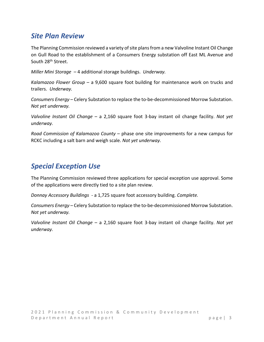#### *Site Plan Review*

The Planning Commission reviewed a variety of site plans from a new Valvoline Instant Oil Change on Gull Road to the establishment of a Consumers Energy substation off East ML Avenue and South 28<sup>th</sup> Street.

*Miller Mini Storage –* 4 additional storage buildings. *Underway.*

*Kalamazoo Flower Group* – a 9,600 square foot building for maintenance work on trucks and trailers. *Underway.*

*Consumers Energy* – Celery Substation to replace the to-be-decommissioned Morrow Substation. *Not yet underway.* 

*Valvoline Instant Oil Change* – a 2,160 square foot 3-bay instant oil change facility. *Not yet underway.*

*Road Commission of Kalamazoo County* – phase one site improvements for a new campus for RCKC including a salt barn and weigh scale. *Not yet underway.* 

## *Special Exception Use*

The Planning Commission reviewed three applications for special exception use approval. Some of the applications were directly tied to a site plan review.

*Donnay Accessory Buildings* - a 1,725 square foot accessory building. *Complete.* 

*Consumers Energy* – Celery Substation to replace the to-be-decommissioned Morrow Substation. *Not yet underway.* 

*Valvoline Instant Oil Change* – a 2,160 square foot 3-bay instant oil change facility. *Not yet underway.*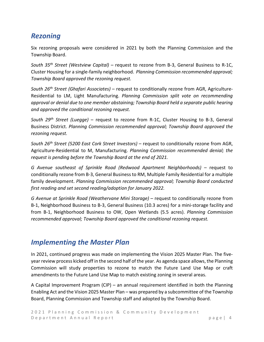## *Rezoning*

Six rezoning proposals were considered in 2021 by both the Planning Commission and the Township Board.

*South 35th Street (Westview Capital)* – request to rezone from B-3, General Business to R-1C, Cluster Housing for a single-family neighborhood. *Planning Commission recommended approval; Township Board approved the rezoning request.*

*South 26th Street (Ghafari Associates)* – request to conditionally rezone from AGR, Agriculture-Residential to LM, Light Manufacturing. *Planning Commission split vote on recommending approval or denial due to one member abstaining; Township Board held a separate public hearing and approved the conditional rezoning request.* 

*South 29th Street (Luegge)* – request to rezone from R-1C, Cluster Housing to B-3, General Business District. *Planning Commission recommended approval; Township Board approved the rezoning request.* 

*South 26th Street (5200 East Cork Street Investors)* – request to conditionally rezone from AGR, Agriculture-Residential to M, Manufacturing. *Planning Commission recommended denial; the request is pending before the Township Board at the end of 2021.*

*G Avenue southeast of Sprinkle Road (Redwood Apartment Neighborhoods)* – request to conditionally rezone from B-3, General Business to RM, Multiple Family Residential for a multiple family development. *Planning Commission recommended approval; Township Board conducted first reading and set second reading/adoption for January 2022.*

*G Avenue at Sprinkle Road (Weathervane Mini Storage)* – request to conditionally rezone from B-1, Neighborhood Business to B-3, General Business (10.3 acres) for a mini-storage facility and from B-1, Neighborhood Business to OW, Open Wetlands (5.5 acres). *Planning Commission recommended approval; Township Board approved the conditional rezoning request.*

#### *Implementing the Master Plan*

In 2021, continued progress was made on implementing the Vision 2025 Master Plan. The fiveyear review process kicked off in the second half of the year. As agenda space allows, the Planning Commission will study properties to rezone to match the Future Land Use Map or craft amendments to the Future Land Use Map to match existing zoning in several areas.

A Capital Improvement Program (CIP) – an annual requirement identified in both the Planning Enabling Act and the Vision 2025 Master Plan – was prepared by a subcommittee of the Township Board, Planning Commission and Township staff and adopted by the Township Board.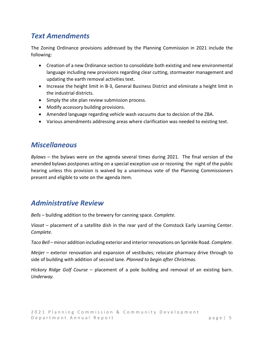## *Text Amendments*

The Zoning Ordinance provisions addressed by the Planning Commission in 2021 include the following:

- Creation of a new Ordinance section to consolidate both existing and new environmental language including new provisions regarding clear cutting, stormwater management and updating the earth removal activities text.
- Increase the height limit in B-3, General Business District and eliminate a height limit in the industrial districts.
- Simply the site plan review submission process.
- Modify accessory building provisions.
- Amended language regarding vehicle wash vacuums due to decision of the ZBA.
- Various amendments addressing areas where clarification was needed to existing text.

#### *Miscellaneous*

*Bylaws* – the bylaws were on the agenda several times during 2021. The final version of the amended bylaws postpones acting on a special exception use or rezoning the night of the public hearing unless this provision is waived by a unanimous vote of the Planning Commissioners present and eligible to vote on the agenda item.

#### *Administrative Review*

*Bells* – building addition to the brewery for canning space. *Complete.*

*Viasat* – placement of a satellite dish in the rear yard of the Comstock Early Learning Center. *Complete.*

*Taco Bell* – minor addition including exterior and interior renovations on Sprinkle Road. *Complete.*

*Meijer* – exterior renovation and expansion of vestibules; relocate pharmacy drive through to side of building with addition of second lane. *Planned to begin after Christmas.* 

*Hickory Ridge Golf Course* – placement of a pole building and removal of an existing barn. *Underway.*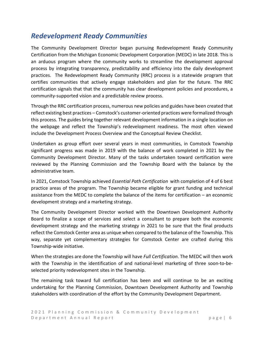## *Redevelopment Ready Communities*

The Community Development Director began pursuing Redevelopment Ready Community Certification from the Michigan Economic Development Corporation (MEDC) in late 2018. This is an arduous program where the community works to streamline the development approval process by integrating transparency, predictability and efficiency into the daily development practices. The Redevelopment Ready Community (RRC) process is a statewide program that certifies communities that actively engage stakeholders and plan for the future. The RRC certification signals that that the community has clear development policies and procedures, a community-supported vision and a predictable review process.

Through the RRC certification process, numerous new policies and guides have been created that reflect existing best practices – Comstock's customer-oriented practices were formalized through this process. The guides bring together relevant development information in a single location on the webpage and reflect the Township's redevelopment readiness. The most often viewed include the Development Process Overview and the Conceptual Review Checklist.

Undertaken as group effort over several years in most communities, in Comstock Township significant progress was made in 2019 with the balance of work completed in 2021 by the Community Development Director. Many of the tasks undertaken toward certification were reviewed by the Planning Commission and the Township Board with the balance by the administrative team.

In 2021, Comstock Township achieved *Essential Path Certification* with completion of 4 of 6 best practice areas of the program. The Township became eligible for grant funding and technical assistance from the MEDC to complete the balance of the items for certification – an economic development strategy and a marketing strategy.

The Community Development Director worked with the Downtown Development Authority Board to finalize a scope of services and select a consultant to prepare both the economic development strategy and the marketing strategy in 2021 to be sure that the final products reflect the Comstock Center area as unique when compared to the balance of the Township. This way, separate yet complementary strategies for Comstock Center are crafted during this Township-wide initiative.

When the strategies are done the Township will have *Full Certification*. The MEDC will then work with the Township in the identification of and national-level marketing of three soon-to-beselected priority redevelopment sites in the Township.

The remaining task toward full certification has been and will continue to be an exciting undertaking for the Planning Commission, Downtown Development Authority and Township stakeholders with coordination of the effort by the Community Development Department.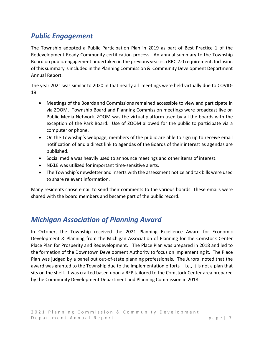## *Public Engagement*

The Township adopted a Public Participation Plan in 2019 as part of Best Practice 1 of the Redevelopment Ready Community certification process. An annual summary to the Township Board on public engagement undertaken in the previous year is a RRC 2.0 requirement. Inclusion of this summary is included in the Planning Commission & Community Development Department Annual Report.

The year 2021 was similar to 2020 in that nearly all meetings were held virtually due to COVID-19.

- Meetings of the Boards and Commissions remained accessible to view and participate in via ZOOM. Township Board and Planning Commission meetings were broadcast live on Public Media Network. ZOOM was the virtual platform used by all the boards with the exception of the Park Board. Use of ZOOM allowed for the public to participate via a computer or phone.
- On the Township's webpage, members of the public are able to sign up to receive email notification of and a direct link to agendas of the Boards of their interest as agendas are published.
- Social media was heavily used to announce meetings and other items of interest.
- NIXLE was utilized for important time-sensitive alerts.
- The Township's newsletter and inserts with the assessment notice and tax bills were used to share relevant information.

Many residents chose email to send their comments to the various boards. These emails were shared with the board members and became part of the public record.

## *Michigan Association of Planning Award*

In October, the Township received the 2021 Planning Excellence Award for Economic Development & Planning from the Michigan Association of Planning for the Comstock Center Place Plan for Prosperity and Redevelopment. The Place Plan was prepared in 2018 and led to the formation of the Downtown Development Authority to focus on implementing it. The Place Plan was judged by a panel out out-of-state planning professionals. The Jurors noted that the award was granted to the Township due to the implementation efforts – i.e., it is not a plan that sits on the shelf. It was crafted based upon a RFP tailored to the Comstock Center area prepared by the Community Development Department and Planning Commission in 2018.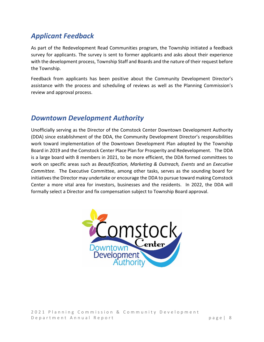## *Applicant Feedback*

As part of the Redevelopment Read Communities program, the Township initiated a feedback survey for applicants. The survey is sent to former applicants and asks about their experience with the development process, Township Staff and Boards and the nature of their request before the Township.

Feedback from applicants has been positive about the Community Development Director's assistance with the process and scheduling of reviews as well as the Planning Commission's review and approval process.

#### *Downtown Development Authority*

Unofficially serving as the Director of the Comstock Center Downtown Development Authority (DDA) since establishment of the DDA, the Community Development Director's responsibilities work toward implementation of the Downtown Development Plan adopted by the Township Board in 2019 and the Comstock Center Place Plan for Prosperity and Redevelopment. The DDA is a large board with 8 members in 2021, to be more efficient, the DDA formed committees to work on specific areas such as *Beautification, Marketing & Outreach, Events* and an *Executive Committee*. The Executive Committee, among other tasks, serves as the sounding board for initiatives the Director may undertake or encourage the DDA to pursue toward making Comstock Center a more vital area for investors, businesses and the residents. In 2022, the DDA will formally select a Director and fix compensation subject to Township Board approval.



202 1 Planning Commission & Community Development Department Annual Report page | 8